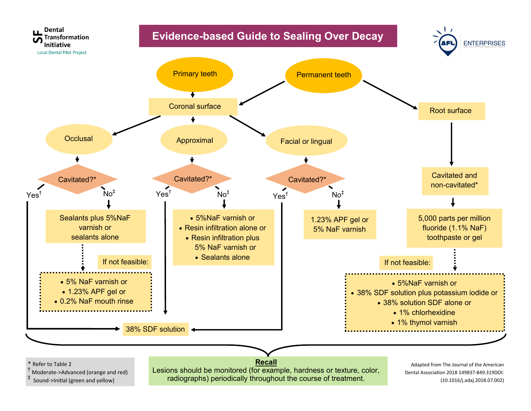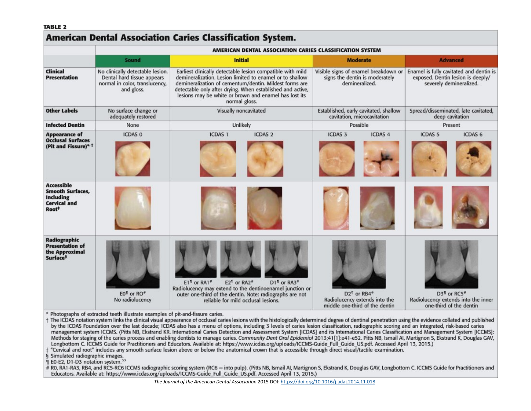#### **TABLE 2**

# **American Dental Association Caries Classification System.**

|                                                                                                              | AMERICAN DENTAL ASSOCIATION CARIES CLASSIFICATION SYSTEM                                                       |                                                                                                                                                                                                                                                                                                                          |  |                                                                                                             |                                                                                                                    |                                                                                                                            |                                                                                                       |
|--------------------------------------------------------------------------------------------------------------|----------------------------------------------------------------------------------------------------------------|--------------------------------------------------------------------------------------------------------------------------------------------------------------------------------------------------------------------------------------------------------------------------------------------------------------------------|--|-------------------------------------------------------------------------------------------------------------|--------------------------------------------------------------------------------------------------------------------|----------------------------------------------------------------------------------------------------------------------------|-------------------------------------------------------------------------------------------------------|
|                                                                                                              | <b>Initial</b><br>Sound                                                                                        |                                                                                                                                                                                                                                                                                                                          |  | <b>Moderate</b><br>Visible signs of enamel breakdown or<br>signs the dentin is moderately<br>demineralized. |                                                                                                                    | <b>Advanced</b><br>Enamel is fully cavitated and dentin is<br>exposed. Dentin lesion is deeply/<br>severely demineralized. |                                                                                                       |
| <b>Clinical</b><br><b>Presentation</b>                                                                       | No clinically detectable lesion.<br>Dental hard tissue appears<br>normal in color, translucency,<br>and gloss. | Earliest clinically detectable lesion compatible with mild<br>demineralization. Lesion limited to enamel or to shallow<br>demineralization of cementum/dentin. Mildest forms are<br>detectable only after drying. When established and active,<br>lesions may be white or brown and enamel has lost its<br>normal gloss. |  |                                                                                                             |                                                                                                                    |                                                                                                                            |                                                                                                       |
| <b>Other Labels</b>                                                                                          | No surface change or<br>adequately restored                                                                    | Visually noncavitated                                                                                                                                                                                                                                                                                                    |  | Established, early cavitated, shallow<br>cavitation, microcavitation                                        |                                                                                                                    | Spread/disseminated, late cavitated,<br>deep cavitation                                                                    |                                                                                                       |
| <b>Infected Dentin</b>                                                                                       | None                                                                                                           | Unlikely                                                                                                                                                                                                                                                                                                                 |  | Possible                                                                                                    |                                                                                                                    | Present                                                                                                                    |                                                                                                       |
| <b>Appearance of</b><br><b>Occlusal Surfaces</b><br>(Pit and Fissure)* +                                     | <b>ICDAS 0</b>                                                                                                 | <b>ICDAS 2</b><br><b>ICDAS 1</b>                                                                                                                                                                                                                                                                                         |  | <b>ICDAS 3</b>                                                                                              | <b>ICDAS 4</b>                                                                                                     | <b>ICDAS 5</b>                                                                                                             | ICDAS <sub>6</sub>                                                                                    |
| <b>Accessible</b><br><b>Smooth Surfaces.</b><br><b>Including</b><br><b>Cervical and</b><br>Root <sup>+</sup> |                                                                                                                |                                                                                                                                                                                                                                                                                                                          |  |                                                                                                             |                                                                                                                    |                                                                                                                            |                                                                                                       |
| <b>Radiographic</b><br><b>Presentation of</b><br>the Approximal<br><b>Surface</b> <sup>§</sup>               | E0 <sup>1</sup> or RO <sup>*</sup><br>No radiolucency                                                          | $E1q$ or RA1 <sup>*</sup><br>E2 <sup>11</sup> or RA2 <sup>*</sup><br>D1 <sup>1</sup> or RA3 <sup>*</sup><br>Radiolucency may extend to the dentinoenamel junction or<br>outer one-third of the dentin. Note: radiographs are not<br>reliable for mild occlusal lesions.                                                  |  |                                                                                                             | D <sub>2</sub> <sup>1</sup> or RB4 <sup>#</sup><br>Radiolucency extends into the<br>middle one-third of the dentin |                                                                                                                            | D3 <sup>1</sup> or RC5 <sup>#</sup><br>Radiolucency extends into the inner<br>one-third of the dentin |

\* Photographs of extracted teeth illustrate examples of pit-and-fissure caries.

t The ICDAS notation system links the clinical visual appearance of occlusal caries lesions with the histologically determined degree of dentinal penetration using the evidence collated and published by the ICDAS Foundation over the last decade; ICDAS also has a menu of options, including 3 levels of caries lesion classification, radiographic scoring and an integrated, risk-based caries management system ICCMS. (Pitts NB, Ekstrand KR. International Caries Detection and Assessment System [ICDAS] and its International Caries Classification and Management System [ICCMS]: Methods for staging of the caries process and enabling dentists to manage caries. Community Dent Oral Epidemiol 2013;41[1]:e41-e52. Pitts NB, Ismail AI, Martignon S, Ekstrand K, Douglas GAV, Longbottom C. ICCMS Guide for Practitioners and Educators. Available at: https://www.icdas.org/uploads/ICCMS-Guide\_Full\_Guide\_US.pdf. Accessed April 13, 2015.)

# "Cervical and root" includes any smooth surface lesion above or below the anatomical crown that is accessible through direct visual/tactile examination.

§ Simulated radiographic images.

1 E0-E2, D1-D3 notation system.<sup>33</sup>

# R0, RA1-RA3, RB4, and RC5-RC6 ICCMS radiographic scoring system (RC6 = into pulp). (Pitts NB, Ismail AI, Martignon S, Ekstrand K, Douglas GAV, Longbottom C. ICCMS Guide for Practitioners and Educators. Available at: https://www.icdas.org/uploads/ICCMS-Guide\_Full\_Guide\_US.pdf. Accessed April 13, 2015.)